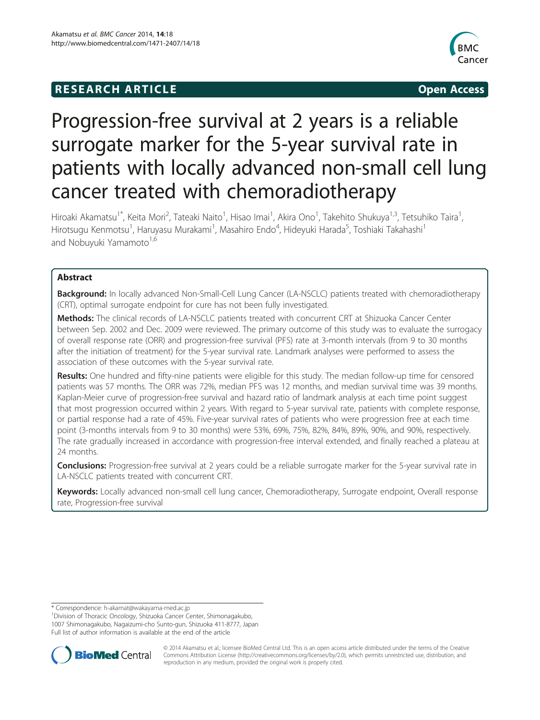# **RESEARCH ARTICLE Example 2014 12:30 The SEAR CHA RESEARCH ARTICLE**



# Progression-free survival at 2 years is a reliable surrogate marker for the 5-year survival rate in patients with locally advanced non-small cell lung cancer treated with chemoradiotherapy

Hiroaki Akamatsu<sup>1\*</sup>, Keita Mori<sup>2</sup>, Tateaki Naito<sup>1</sup>, Hisao Imai<sup>1</sup>, Akira Ono<sup>1</sup>, Takehito Shukuya<sup>1,3</sup>, Tetsuhiko Taira<sup>1</sup> , Hirotsugu Kenmotsu<sup>1</sup>, Haruyasu Murakami<sup>1</sup>, Masahiro Endo<sup>4</sup>, Hideyuki Harada<sup>5</sup>, Toshiaki Takahashi<sup>1</sup> and Nobuyuki Yamamoto<sup>1,6</sup>

# Abstract

Background: In locally advanced Non-Small-Cell Lung Cancer (LA-NSCLC) patients treated with chemoradiotherapy (CRT), optimal surrogate endpoint for cure has not been fully investigated.

Methods: The clinical records of LA-NSCLC patients treated with concurrent CRT at Shizuoka Cancer Center between Sep. 2002 and Dec. 2009 were reviewed. The primary outcome of this study was to evaluate the surrogacy of overall response rate (ORR) and progression-free survival (PFS) rate at 3-month intervals (from 9 to 30 months after the initiation of treatment) for the 5-year survival rate. Landmark analyses were performed to assess the association of these outcomes with the 5-year survival rate.

Results: One hundred and fifty-nine patients were eligible for this study. The median follow-up time for censored patients was 57 months. The ORR was 72%, median PFS was 12 months, and median survival time was 39 months. Kaplan-Meier curve of progression-free survival and hazard ratio of landmark analysis at each time point suggest that most progression occurred within 2 years. With regard to 5-year survival rate, patients with complete response, or partial response had a rate of 45%. Five-year survival rates of patients who were progression free at each time point (3-months intervals from 9 to 30 months) were 53%, 69%, 75%, 82%, 84%, 89%, 90%, and 90%, respectively. The rate gradually increased in accordance with progression-free interval extended, and finally reached a plateau at 24 months.

**Conclusions:** Progression-free survival at 2 years could be a reliable surrogate marker for the 5-year survival rate in LA-NSCLC patients treated with concurrent CRT.

Keywords: Locally advanced non-small cell lung cancer, Chemoradiotherapy, Surrogate endpoint, Overall response rate, Progression-free survival

<sup>&</sup>lt;sup>1</sup> Division of Thoracic Oncology, Shizuoka Cancer Center, Shimonagakubo, 1007 Shimonagakubo, Nagaizumi-cho Sunto-gun, Shizuoka 411-8777, Japan





© 2014 Akamatsu et al.; licensee BioMed Central Ltd. This is an open access article distributed under the terms of the Creative Commons Attribution License [\(http://creativecommons.org/licenses/by/2.0\)](http://creativecommons.org/licenses/by/2.0), which permits unrestricted use, distribution, and reproduction in any medium, provided the original work is properly cited.

<sup>\*</sup> Correspondence: [h-akamat@wakayama-med.ac.jp](mailto:h-akamat@wakayama-med.ac.jp) <sup>1</sup>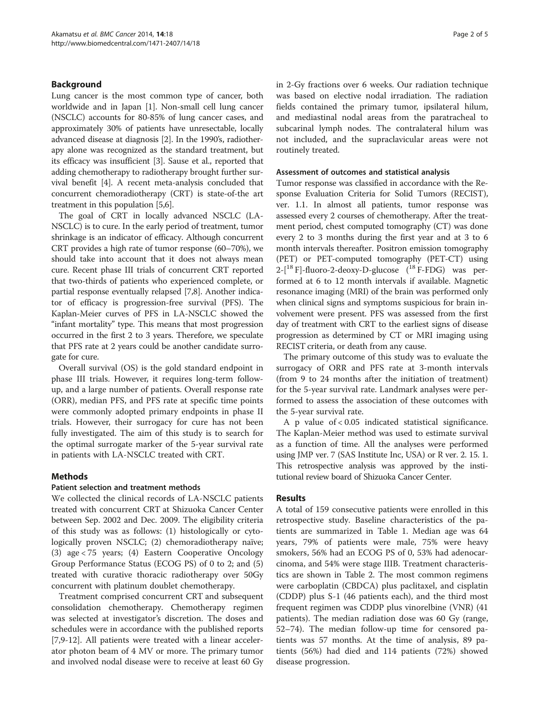# Background

Lung cancer is the most common type of cancer, both worldwide and in Japan [\[1](#page-4-0)]. Non-small cell lung cancer (NSCLC) accounts for 80-85% of lung cancer cases, and approximately 30% of patients have unresectable, locally advanced disease at diagnosis [\[2\]](#page-4-0). In the 1990's, radiotherapy alone was recognized as the standard treatment, but its efficacy was insufficient [\[3\]](#page-4-0). Sause et al., reported that adding chemotherapy to radiotherapy brought further survival benefit [\[4](#page-4-0)]. A recent meta-analysis concluded that concurrent chemoradiotherapy (CRT) is state-of-the art treatment in this population [\[5,6\]](#page-4-0).

The goal of CRT in locally advanced NSCLC (LA-NSCLC) is to cure. In the early period of treatment, tumor shrinkage is an indicator of efficacy. Although concurrent CRT provides a high rate of tumor response (60–70%), we should take into account that it does not always mean cure. Recent phase III trials of concurrent CRT reported that two-thirds of patients who experienced complete, or partial response eventually relapsed [\[7,8](#page-4-0)]. Another indicator of efficacy is progression-free survival (PFS). The Kaplan-Meier curves of PFS in LA-NSCLC showed the "infant mortality" type. This means that most progression occurred in the first 2 to 3 years. Therefore, we speculate that PFS rate at 2 years could be another candidate surrogate for cure.

Overall survival (OS) is the gold standard endpoint in phase III trials. However, it requires long-term followup, and a large number of patients. Overall response rate (ORR), median PFS, and PFS rate at specific time points were commonly adopted primary endpoints in phase II trials. However, their surrogacy for cure has not been fully investigated. The aim of this study is to search for the optimal surrogate marker of the 5-year survival rate in patients with LA-NSCLC treated with CRT.

# Methods

# Patient selection and treatment methods

We collected the clinical records of LA-NSCLC patients treated with concurrent CRT at Shizuoka Cancer Center between Sep. 2002 and Dec. 2009. The eligibility criteria of this study was as follows: (1) histologically or cytologically proven NSCLC; (2) chemoradiotherapy naïve; (3) age < 75 years; (4) Eastern Cooperative Oncology Group Performance Status (ECOG PS) of 0 to 2; and (5) treated with curative thoracic radiotherapy over 50Gy concurrent with platinum doublet chemotherapy.

Treatment comprised concurrent CRT and subsequent consolidation chemotherapy. Chemotherapy regimen was selected at investigator's discretion. The doses and schedules were in accordance with the published reports [[7,9-12](#page-4-0)]. All patients were treated with a linear accelerator photon beam of 4 MV or more. The primary tumor and involved nodal disease were to receive at least 60 Gy in 2-Gy fractions over 6 weeks. Our radiation technique was based on elective nodal irradiation. The radiation fields contained the primary tumor, ipsilateral hilum, and mediastinal nodal areas from the paratracheal to subcarinal lymph nodes. The contralateral hilum was not included, and the supraclavicular areas were not routinely treated.

### Assessment of outcomes and statistical analysis

Tumor response was classified in accordance with the Response Evaluation Criteria for Solid Tumors (RECIST), ver. 1.1. In almost all patients, tumor response was assessed every 2 courses of chemotherapy. After the treatment period, chest computed tomography (CT) was done every 2 to 3 months during the first year and at 3 to 6 month intervals thereafter. Positron emission tomography (PET) or PET-computed tomography (PET-CT) using 2-[18 F]-fluoro-2-deoxy-D-glucose (18 F-FDG) was performed at 6 to 12 month intervals if available. Magnetic resonance imaging (MRI) of the brain was performed only when clinical signs and symptoms suspicious for brain involvement were present. PFS was assessed from the first day of treatment with CRT to the earliest signs of disease progression as determined by CT or MRI imaging using RECIST criteria, or death from any cause.

The primary outcome of this study was to evaluate the surrogacy of ORR and PFS rate at 3-month intervals (from 9 to 24 months after the initiation of treatment) for the 5-year survival rate. Landmark analyses were performed to assess the association of these outcomes with the 5-year survival rate.

A p value of < 0.05 indicated statistical significance. The Kaplan-Meier method was used to estimate survival as a function of time. All the analyses were performed using JMP ver. 7 (SAS Institute Inc, USA) or R ver. 2. 15. 1. This retrospective analysis was approved by the institutional review board of Shizuoka Cancer Center.

# Results

A total of 159 consecutive patients were enrolled in this retrospective study. Baseline characteristics of the patients are summarized in Table [1](#page-2-0). Median age was 64 years, 79% of patients were male, 75% were heavy smokers, 56% had an ECOG PS of 0, 53% had adenocarcinoma, and 54% were stage IIIB. Treatment characteristics are shown in Table [2](#page-2-0). The most common regimens were carboplatin (CBDCA) plus paclitaxel, and cisplatin (CDDP) plus S-1 (46 patients each), and the third most frequent regimen was CDDP plus vinorelbine (VNR) (41 patients). The median radiation dose was 60 Gy (range, 52–74). The median follow-up time for censored patients was 57 months. At the time of analysis, 89 patients (56%) had died and 114 patients (72%) showed disease progression.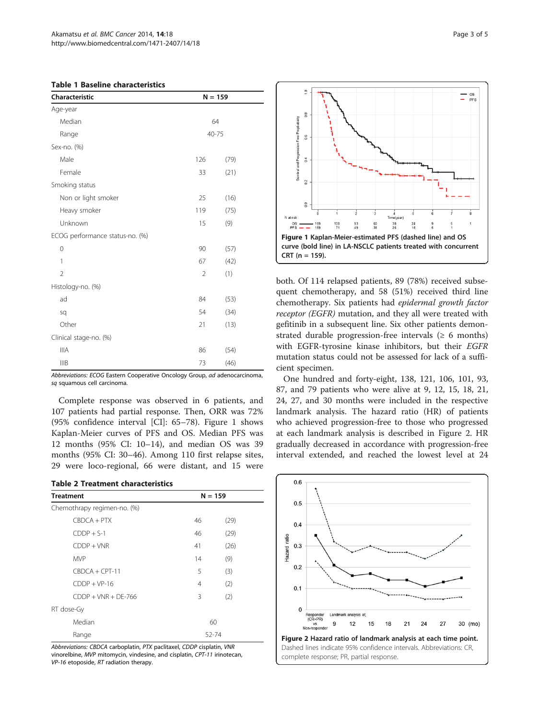<span id="page-2-0"></span>

| <b>Table 1 Baseline characteristics</b> |  |
|-----------------------------------------|--|
|-----------------------------------------|--|

| <b>Characteristic</b><br>$N = 159$ |                |      |
|------------------------------------|----------------|------|
| Age-year                           |                |      |
| Median                             | 64             |      |
| Range                              | 40-75          |      |
| Sex-no. (%)                        |                |      |
| Male                               | 126            | (79) |
| Female                             | 33             | (21) |
| Smoking status                     |                |      |
| Non or light smoker                | 25             | (16) |
| Heavy smoker                       | 119            | (75) |
| Unknown                            | 15             | (9)  |
| ECOG performance status-no. (%)    |                |      |
| 0                                  | 90             | (57) |
| 1                                  | 67             | (42) |
| $\overline{2}$                     | $\overline{2}$ | (1)  |
| Histology-no. (%)                  |                |      |
| ad                                 | 84             | (53) |
| sq                                 | 54             | (34) |
| Other                              | 21             | (13) |
| Clinical stage-no. (%)             |                |      |
| <b>IIIA</b>                        | 86             | (54) |
| <b>IIIB</b>                        | 73             | (46) |

Abbreviations: ECOG Eastern Cooperative Oncology Group, ad adenocarcinoma, sq squamous cell carcinoma.

Complete response was observed in 6 patients, and 107 patients had partial response. Then, ORR was 72% (95% confidence interval [CI]: 65–78). Figure 1 shows Kaplan-Meier curves of PFS and OS. Median PFS was 12 months (95% CI: 10–14), and median OS was 39 months (95% CI: 30–46). Among 110 first relapse sites, 29 were loco-regional, 66 were distant, and 15 were

|  | <b>Table 2 Treatment characteristics</b> |
|--|------------------------------------------|
|--|------------------------------------------|

| <b>Treatment</b>            | $N = 159$ |      |  |
|-----------------------------|-----------|------|--|
| Chemothrapy regimen-no. (%) |           |      |  |
| $CBOCA + PTX$               | 46        | (29) |  |
| $CDDP + S-1$                | 46        | (29) |  |
| $CDDP + VNR$                | 41        | (26) |  |
| <b>MVP</b>                  | 14        | (9)  |  |
| $CBOCA + CPT-11$            | 5         | (3)  |  |
| $CDDP + VP-16$              | 4         | (2)  |  |
| $CDDP + VNR + DF-766$       | 3         | (2)  |  |
| RT dose-Gy                  |           |      |  |
| Median                      | 60        |      |  |
| Range                       | 52-74     |      |  |

Abbreviations: CBDCA carboplatin, PTX paclitaxel, CDDP cisplatin, VNR vinorelbine, MVP mitomycin, vindesine, and cisplatin, CPT-11 irinotecan, VP-16 etoposide, RT radiation therapy.



both. Of 114 relapsed patients, 89 (78%) received subsequent chemotherapy, and 58 (51%) received third line chemotherapy. Six patients had epidermal growth factor receptor (EGFR) mutation, and they all were treated with gefitinib in a subsequent line. Six other patients demonstrated durable progression-free intervals  $(≥ 6$  months) with EGFR-tyrosine kinase inhibitors, but their EGFR mutation status could not be assessed for lack of a sufficient specimen.

One hundred and forty-eight, 138, 121, 106, 101, 93, 87, and 79 patients who were alive at 9, 12, 15, 18, 21, 24, 27, and 30 months were included in the respective landmark analysis. The hazard ratio (HR) of patients who achieved progression-free to those who progressed at each landmark analysis is described in Figure 2. HR gradually decreased in accordance with progression-free interval extended, and reached the lowest level at 24

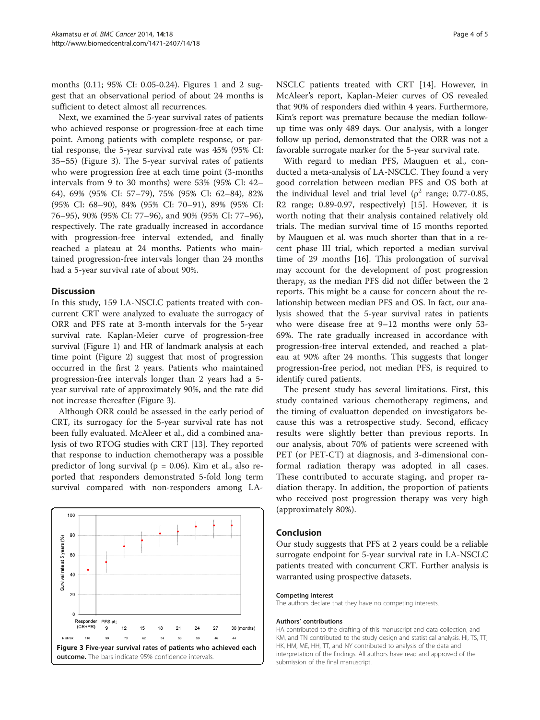months (0.11; 95% CI: 0.05-0.24). Figures [1](#page-2-0) and [2](#page-2-0) suggest that an observational period of about 24 months is sufficient to detect almost all recurrences.

Next, we examined the 5-year survival rates of patients who achieved response or progression-free at each time point. Among patients with complete response, or partial response, the 5-year survival rate was 45% (95% CI: 35–55) (Figure 3). The 5-year survival rates of patients who were progression free at each time point (3-months intervals from 9 to 30 months) were 53% (95% CI: 42– 64), 69% (95% CI: 57–79), 75% (95% CI: 62–84), 82% (95% CI: 68–90), 84% (95% CI: 70–91), 89% (95% CI: 76–95), 90% (95% CI: 77–96), and 90% (95% CI: 77–96), respectively. The rate gradually increased in accordance with progression-free interval extended, and finally reached a plateau at 24 months. Patients who maintained progression-free intervals longer than 24 months had a 5-year survival rate of about 90%.

# **Discussion**

In this study, 159 LA-NSCLC patients treated with concurrent CRT were analyzed to evaluate the surrogacy of ORR and PFS rate at 3-month intervals for the 5-year survival rate. Kaplan-Meier curve of progression-free survival (Figure [1](#page-2-0)) and HR of landmark analysis at each time point (Figure [2\)](#page-2-0) suggest that most of progression occurred in the first 2 years. Patients who maintained progression-free intervals longer than 2 years had a 5 year survival rate of approximately 90%, and the rate did not increase thereafter (Figure 3).

Although ORR could be assessed in the early period of CRT, its surrogacy for the 5-year survival rate has not been fully evaluated. McAleer et al., did a combined analysis of two RTOG studies with CRT [[13\]](#page-4-0). They reported that response to induction chemotherapy was a possible predictor of long survival ( $p = 0.06$ ). Kim et al., also reported that responders demonstrated 5-fold long term survival compared with non-responders among LA-



NSCLC patients treated with CRT [[14\]](#page-4-0). However, in McAleer's report, Kaplan-Meier curves of OS revealed that 90% of responders died within 4 years. Furthermore, Kim's report was premature because the median followup time was only 489 days. Our analysis, with a longer follow up period, demonstrated that the ORR was not a favorable surrogate marker for the 5-year survival rate.

With regard to median PFS, Mauguen et al., conducted a meta-analysis of LA-NSCLC. They found a very good correlation between median PFS and OS both at the individual level and trial level ( $\rho^2$  range; 0.77-0.85, R2 range; 0.89-0.97, respectively) [\[15](#page-4-0)]. However, it is worth noting that their analysis contained relatively old trials. The median survival time of 15 months reported by Mauguen et al. was much shorter than that in a recent phase III trial, which reported a median survival time of 29 months [\[16\]](#page-4-0). This prolongation of survival may account for the development of post progression therapy, as the median PFS did not differ between the 2 reports. This might be a cause for concern about the relationship between median PFS and OS. In fact, our analysis showed that the 5-year survival rates in patients who were disease free at 9–12 months were only 53- 69%. The rate gradually increased in accordance with progression-free interval extended, and reached a plateau at 90% after 24 months. This suggests that longer progression-free period, not median PFS, is required to identify cured patients.

The present study has several limitations. First, this study contained various chemotherapy regimens, and the timing of evaluatton depended on investigators because this was a retrospective study. Second, efficacy results were slightly better than previous reports. In our analysis, about 70% of patients were screened with PET (or PET-CT) at diagnosis, and 3-dimensional conformal radiation therapy was adopted in all cases. These contributed to accurate staging, and proper radiation therapy. In addition, the proportion of patients who received post progression therapy was very high (approximately 80%).

#### Conclusion

Our study suggests that PFS at 2 years could be a reliable surrogate endpoint for 5-year survival rate in LA-NSCLC patients treated with concurrent CRT. Further analysis is warranted using prospective datasets.

#### Competing interest

The authors declare that they have no competing interests.

#### Authors' contributions

HA contributed to the drafting of this manuscript and data collection, and KM, and TN contributed to the study design and statistical analysis. HI, TS, TT, HK, HM, ME, HH, TT, and NY contributed to analysis of the data and interpretation of the findings. All authors have read and approved of the submission of the final manuscript.